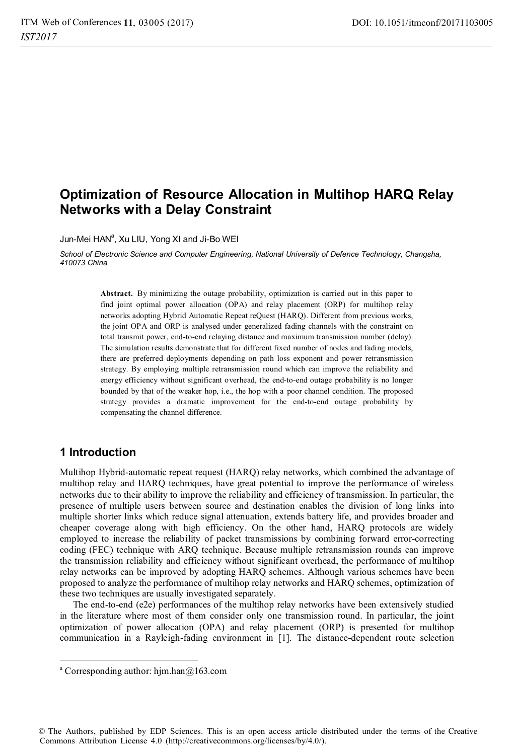# **Optimization of Resource Allocation in Multihop HARQ Relay Networks with a Delay Constraint**

Jun-Mei HAN<sup>a</sup>, Xu LIU, Yong XI and Ji-Bo WEI

*School of Electronic Science and Computer Engineering, National University of Defence Technology, Changsha, 410073 China* 

> **Abstract.** By minimizing the outage probability, optimization is carried out in this paper to find joint optimal power allocation (OPA) and relay placement (ORP) for multihop relay networks adopting Hybrid Automatic Repeat reQuest (HARQ). Different from previous works, the joint OPA and ORP is analysed under generalized fading channels with the constraint on total transmit power, end-to-end relaying distance and maximum transmission number (delay). The simulation results demonstrate that for different fixed number of nodes and fading models, there are preferred deployments depending on path loss exponent and power retransmission strategy. By employing multiple retransmission round which can improve the reliability and energy efficiency without significant overhead, the end-to-end outage probability is no longer bounded by that of the weaker hop, i.e., the hop with a poor channel condition. The proposed strategy provides a dramatic improvement for the end-to-end outage probability by compensating the channel difference.

## **1 Introduction**

 $\overline{a}$ 

Multihop Hybrid-automatic repeat request (HARQ) relay networks, which combined the advantage of multihop relay and HARQ techniques, have great potential to improve the performance of wireless networks due to their ability to improve the reliability and efficiency of transmission. In particular, the presence of multiple users between source and destination enables the division of long links into multiple shorter links which reduce signal attenuation, extends battery life, and provides broader and cheaper coverage along with high efficiency. On the other hand, HARQ protocols are widely employed to increase the reliability of packet transmissions by combining forward error-correcting coding (FEC) technique with ARQ technique. Because multiple retransmission rounds can improve the transmission reliability and efficiency without significant overhead, the performance of multihop relay networks can be improved by adopting HARQ schemes. Although various schemes have been proposed to analyze the performance of multihop relay networks and HARQ schemes, optimization of these two techniques are usually investigated separately.

The end-to-end (e2e) performances of the multihop relay networks have been extensively studied in the literature where most of them consider only one transmission round. In particular, the joint optimization of power allocation (OPA) and relay placement (ORP) is presented for multihop communication in a Rayleigh-fading environment in [1]. The distance-dependent route selection

© The Authors, published by EDP Sciences. This is an open access article distributed under the terms of the Creative Commons Attribution License 4.0 (http://creativecommons.org/licenses/by/4.0/).

a Corresponding author: hjm.han@163.com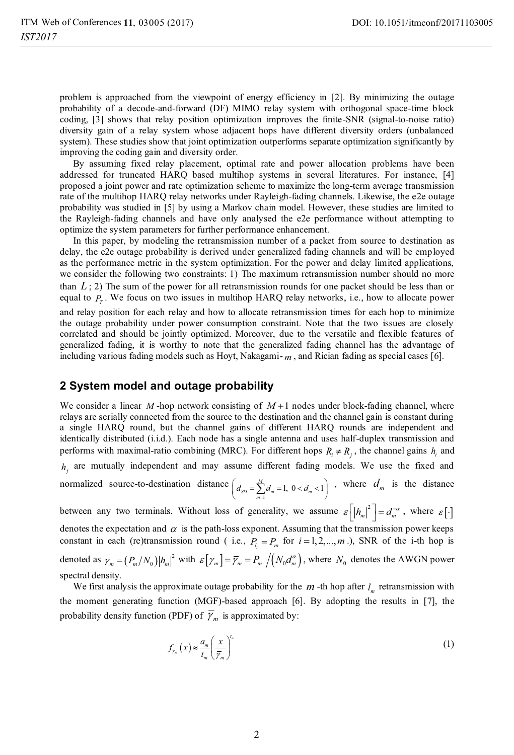problem is approached from the viewpoint of energy efficiency in [2]. By minimizing the outage probability of a decode-and-forward (DF) MIMO relay system with orthogonal space-time block coding, [3] shows that relay position optimization improves the finite-SNR (signal-to-noise ratio) diversity gain of a relay system whose adjacent hops have different diversity orders (unbalanced system). These studies show that joint optimization outperforms separate optimization significantly by improving the coding gain and diversity order.

By assuming fixed relay placement, optimal rate and power allocation problems have been addressed for truncated HARQ based multihop systems in several literatures. For instance, [4] proposed a joint power and rate optimization scheme to maximize the long-term average transmission rate of the multihop HARQ relay networks under Rayleigh-fading channels. Likewise, the e2e outage probability was studied in [5] by using a Markov chain model. However, these studies are limited to the Rayleigh-fading channels and have only analysed the e2e performance without attempting to optimize the system parameters for further performance enhancement.

In this paper, by modeling the retransmission number of a packet from source to destination as delay, the e2e outage probability is derived under generalized fading channels and will be employed as the performance metric in the system optimization. For the power and delay limited applications, we consider the following two constraints: 1) The maximum retransmission number should no more than  $L:2$ ) The sum of the power for all retransmission rounds for one packet should be less than or equal to  $P<sub>r</sub>$ . We focus on two issues in multihop HARQ relay networks, i.e., how to allocate power and relay position for each relay and how to allocate retransmission times for each hop to minimize the outage probability under power consumption constraint. Note that the two issues are closely correlated and should be jointly optimized. Moreover, due to the versatile and flexible features of generalized fading, it is worthy to note that the generalized fading channel has the advantage of including various fading models such as Hoyt, Nakagami- *m* , and Rician fading as special cases [6].

### **2 System model and outage probability**

We consider a linear  $M$ -hop network consisting of  $M+1$  nodes under block-fading channel, where relays are serially connected from the source to the destination and the channel gain is constant during a single HARQ round, but the channel gains of different HARQ rounds are independent and identically distributed (i.i.d.). Each node has a single antenna and uses half-duplex transmission and performs with maximal-ratio combining (MRC). For different hops  $R_i \neq R_j$ , the channel gains  $h_i$  and  $h_i$  are mutually independent and may assume different fading models. We use the fixed and normalized source-to-destination distance  $\sum_{m=1}^{M} d_m = 1, 0 < d_m < 1$  $\left(d_{SD} = \sum_{m=1}^{M} d_m = 1, 0 < d_m < 1\right)$ , where  $d_m$  is the distance between any two terminals. Without loss of generality, we assume  $\varepsilon \left[ |h_m|^2 \right] = d_m^{-\alpha}$ , where  $\varepsilon[\cdot]$ denotes the expectation and  $\alpha$  is the path-loss exponent. Assuming that the transmission power keeps constant in each (re)transmission round ( i.e.,  $P_i = P_m$  for  $i = 1, 2, ..., m$ .), SNR of the i-th hop is denoted as  $\gamma_m = (P_m/N_0)|h_m|^2$  with  $\varepsilon[\gamma_m] = \overline{\gamma}_m = P_m/(N_0 d_m^{\alpha})$ , where  $N_0$  denotes the AWGN power spectral density.

We first analysis the approximate outage probability for the  $m$ -th hop after  $l_m$  retransmission with the moment generating function (MGF)-based approach [6]. By adopting the results in [7], the probability density function (PDF) of  $\overline{\gamma}_m$  is approximated by:

$$
f_{\gamma_m}\left(x\right) \approx \frac{a_m}{t_m} \left(\frac{x}{\bar{\gamma}_m}\right)^{t_m} \tag{1}
$$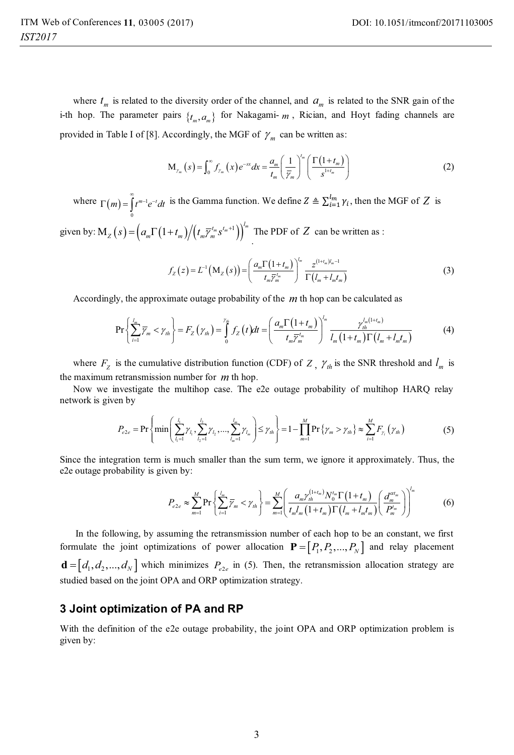where  $t_m$  is related to the diversity order of the channel, and  $a_m$  is related to the SNR gain of the i-th hop. The parameter pairs  $\{t_m, a_m\}$  for Nakagami- *m*, Rician, and Hoyt fading channels are provided in Table I of [8]. Accordingly, the MGF of  $\gamma_m$  can be written as:

$$
M_{\gamma_m}\left(s\right) = \int_0^\infty f_{\gamma_m}\left(x\right)e^{-sx}dx = \frac{a_m}{t_m} \left(\frac{1}{\overline{\gamma}_m}\right)^{t_m} \left(\frac{\Gamma\left(1+t_m\right)}{s^{1+t_m}}\right) \tag{2}
$$

where  $\Gamma(m) = \int_{0}^{\infty} t^{m-1} e^{-t} dt$  is the Gamma function. We define  $Z \triangleq \sum_{i=1}^{l_m} \gamma_i$ , then the MGF of  $Z$  is 0

given by:  $\mathbf{M}_z \left( s \right) = \left( a_m \Gamma \left( 1 + t_m \right) \middle/ \left( t_m \overline{\gamma}_m^{t_m} s^{t_m + 1} \right) \right)^{l_m}$ . The PDF of *Z* can be written as :

$$
f_{Z}\left(z\right) = L^{-1}\left(M_{Z}\left(s\right)\right) = \left(\frac{a_{m}\Gamma\left(1+t_{m}\right)}{t_{m}\overline{Y}_{m}^{'}}\right)^{l_{m}} \frac{z^{\left(1+t_{m}\right)l_{m}-1}}{\Gamma\left(l_{m}+l_{m}t_{m}\right)}\tag{3}
$$

Accordingly, the approximate outage probability of the *m* th hop can be calculated as

$$
\Pr\left\{\sum_{i=1}^{l_m} \overline{\gamma}_m < \gamma_{th}\right\} = F_Z\left(\gamma_{th}\right) = \int_0^{\gamma_{th}} f_Z\left(t\right) dt = \left(\frac{a_m \Gamma\left(1+t_m\right)}{t_m \overline{\gamma}_m^{t_m}}\right)^{l_m} \frac{\gamma_{th}^{l_m\left(1+t_m\right)}}{l_m\left(1+t_m\right) \Gamma\left(l_m+l_m t_m\right)}\tag{4}
$$

where  $F_z$  is the cumulative distribution function (CDF) of *Z*,  $\gamma_{th}$  is the SNR threshold and  $l_m$  is the maximum retransmission number for *m* th hop.

Now we investigate the multihop case. The e2e outage probability of multihop HARQ relay network is given by

$$
P_{e2e} = \Pr\left\{\min\left(\sum_{l_1=1}^{l_1} \gamma_{l_1}, \sum_{l_2=1}^{l_2} \gamma_{l_2}, \dots, \sum_{l_m=1}^{l_m} \gamma_{l_m}\right) \leq \gamma_{th}\right\} = 1 - \prod_{m=1}^{M} \Pr\left\{\gamma_m > \gamma_{th}\right\} \approx \sum_{i=1}^{M} F_{\gamma_i}\left(\gamma_{th}\right) \tag{5}
$$

Since the integration term is much smaller than the sum term, we ignore it approximately. Thus, the e2e outage probability is given by:

$$
P_{e2e} \approx \sum_{m=1}^{M} \Pr\left\{ \sum_{i=1}^{l_m} \overline{\gamma}_m < \gamma_{th} \right\} = \sum_{m=1}^{M} \left( \frac{a_m \gamma_{th}^{(1+t_m)} N_0^{t_m} \Gamma\left(1+t_m\right)}{t_m I_m \left(1+t_m\right) \Gamma\left(l_m+l_m t_m\right)} \left( \frac{d_m^{at_m}}{P_m^{t_m}} \right) \right)^{t_m} \tag{6}
$$

 In the following, by assuming the retransmission number of each hop to be an constant, we first formulate the joint optimizations of power allocation  $\mathbf{P} = [P_1, P_2, ..., P_N]$  and relay placement  $\mathbf{d} = [d_1, d_2, ..., d_N]$  which minimizes  $P_{e_{2e}}$  in (5). Then, the retransmission allocation strategy are studied based on the joint OPA and ORP optimization strategy.

#### **3 Joint optimization of PA and RP**

With the definition of the e2e outage probability, the joint OPA and ORP optimization problem is given by: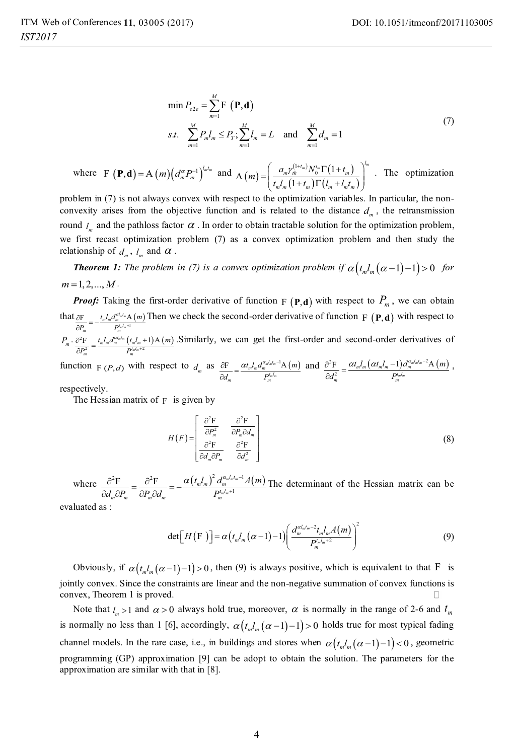$$
\min P_{e2e} = \sum_{m=1}^{M} \mathbf{F} \left( \mathbf{P}, \mathbf{d} \right)
$$
  
s.t. 
$$
\sum_{m=1}^{M} P_m l_m \le P_T; \sum_{m=1}^{M} l_m = L \text{ and } \sum_{m=1}^{M} d_m = 1
$$
 (7)

where 
$$
F(\mathbf{P}, \mathbf{d}) = A(m) \left( d_m^{\alpha} P_m^{-1} \right)^{l_m t_m}
$$
 and  $A(m) = \left( \frac{a_m \gamma_m^{(1+t_m)} N_0^{t_m} \Gamma(1+t_m)}{t_m l_m (1+t_m) \Gamma(l_m + l_m t_m)} \right)^{l_m}$ . The optimization

problem in (7) is not always convex with respect to the optimization variables. In particular, the nonconvexity arises from the objective function and is related to the distance  $d<sub>m</sub>$ , the retransmission round  $l_{\perp}$  and the pathloss factor  $\alpha$ . In order to obtain tractable solution for the optimization problem, we first recast optimization problem (7) as a convex optimization problem and then study the relationship of  $d_m$ ,  $l_m$  and  $\alpha$ .

*Theorem 1: The problem in (7) is a convex optimization problem if* $\alpha(t_m l_m(\alpha-1)-1) > 0$ *for*  $m = 1, 2, \dots, M$ .

*Proof:* Taking the first-order derivative of function  $F(\mathbf{P}, \mathbf{d})$  with respect to  $P_m$ , we can obtain  $\frac{\text{that}}{\partial P} = -\frac{t_m I_m d_m^{\alpha l_m t_m}}{P^{t_m l_m + 1}}$ *m m m m*  $\frac{t_m l_m d_m^{\alpha l_m}$ A $\left(m\right)$  $P_m \cdot \frac{\partial^2 \mathbf{F}}{\partial P^2} = \frac{t_m I_m d_m^{al_m t_m} \left(t_m I_m + 1\right) \mathbf{A} \left(m\right)}{P^{t_m l_m + 2}}$  $P_{m}$   $P_{m}$ α  $\frac{\partial F}{\partial P_m} = -\frac{t_m I_m a_m^{a l_{\text{obs}}} A(m)}{P_m^{t_{\text{obs}}} A}$  Then we check the second-order derivative of function F  $(\mathbf{P}, \mathbf{d})$  with respect to  $\frac{dF}{dt} = \frac{t_m I_m d_m^{a l_{m} t_m} (t_m I_m)}{P_m^{t_m l_m t_m}}$  $t_m l_m d_m^{\alpha l_m t_m} (t_m l_m + 1)$ A (*m*  $P_m^2$   $P_n$ α  $\frac{\partial^2 F}{\partial P_m^2} = \frac{t_m I_m d_m^{a l_m t_m}}{P_m^{t_m t_{m+2}}} (t_m I_m + 1) A(m)$ . Similarly, we can get the first-order and second-order derivatives of

function  $F(P,d)$  with respect to  $d_m$  as  $\frac{\partial F}{\partial d} = \frac{\alpha t_m l_m d_m^{\alpha l_m l_m-1} A(m)}{P^{l_m l_m}}$  $\frac{dt_m}{dt_m} = \frac{\alpha t_m l_m d_m^{\alpha_m t_m t_m}}{P_m^{t_m t_m}}$  $t_m l_m d_m^{\alpha_m l_m l_m-1}$ A (m  $\frac{\partial F}{\partial d_m} = \frac{\alpha t_m I_m d_m^{\alpha L_m I_m-1} A(m)}{P_m^{I_m I_m}}$  and  $\frac{\partial^2 F}{\partial d_m^2} = \frac{\alpha t_m I_m (\alpha t_m I_m-1) d_m^{\alpha L_m I_m-2} A(m)}{P_m^{I_m I_m}}$ *m m*  $\frac{d^2F}{dr^2} = \frac{\alpha t_m l_m \left(\alpha t_m l_m -1\right) d_m^{\alpha_m l_m l_m}}{P_m^{l_m l_m}}$  $t_m l_m \left(\alpha t_m l_m -1\right) d_m^{\alpha_m l_m l_m-2}$ A (m  $\frac{\partial^2 \mathrm{F}}{\partial d_m^2} = \frac{\alpha t_m l_m \left(\alpha t_m l_m -1\right) d_m^{\alpha_m l_m l_m-2} \mathrm{A}\left(m\right)}{P_m^{l_m l_m}} \; ,$ 

respectively.

The Hessian matrix of  $F$  is given by

$$
H(F) = \begin{bmatrix} \frac{\partial^2 \mathbf{F}}{\partial P_m^2} & \frac{\partial^2 \mathbf{F}}{\partial P_m \partial Q_m} \\ \frac{\partial^2 \mathbf{F}}{\partial Q_m \partial P_m} & \frac{\partial^2 \mathbf{F}}{\partial Q_m^2} \end{bmatrix}
$$
 (8)

where  $\frac{\partial^2 F}{\partial A \partial P} = \frac{\partial^2 F}{\partial P \partial A} = -\frac{\alpha (t_m I_m)^2 d_m^{a_m I_m I_m - 1} A(m)}{D_m^{a_m I_m + 1}}$ *mmm m m*  $\frac{d^2\mathbf{F}}{dr_m^2} = \frac{\partial^2\mathbf{F}}{\partial P_m\partial d_m} = -\frac{\alpha\left(t_m l_m\right)^2d_m^{\alpha_m l_m l_m}}{P_m^{l_m l_m + 1}}$  $\left(t_m l_m\right)^2 d_m^{\alpha_m l_m t_m-1} A(m)$  $d_m \partial P_m \quad \partial P_m \partial d_m$  P  $\alpha(t l)^2 d^{\alpha_m l_m t_m}$  $\frac{\partial^2 F}{\partial d_m \partial P_m} = \frac{\partial^2 F}{\partial P_m \partial d_m} = -\frac{\alpha (t_m l_m)^2 d_m^{d_m l_m l_m - 1} A(m)}{P_m^{d_m l_m + 1}}$  The determinant of the Hessian matrix can be

evaluated as :

$$
\det\left[H\left(\mathbf{F}\right)\right] = \alpha \left(t_m l_m \left(\alpha - 1\right) - 1\right) \left(\frac{d_m^{a l_m l_m - 2} t_m l_m A\left(m\right)}{P_m^{l_m l_m + 2}}\right)^2\tag{9}
$$

Obviously, if  $\alpha(t_m l_m(\alpha-1)-1) > 0$ , then (9) is always positive, which is equivalent to that F is jointly convex. Since the constraints are linear and the non-negative summation of convex functions is convex, Theorem 1 is proved.

Note that  $l_m > 1$  and  $\alpha > 0$  always hold true, moreover,  $\alpha$  is normally in the range of 2-6 and  $t_m$ is normally no less than 1 [6], accordingly,  $\alpha(t_m l_m (\alpha-1)-1) > 0$  holds true for most typical fading channel models. In the rare case, i.e., in buildings and stores when  $\alpha(t_n l_n (\alpha-1)-1) < 0$ , geometric programming (GP) approximation [9] can be adopt to obtain the solution. The parameters for the approximation are similar with that in [8].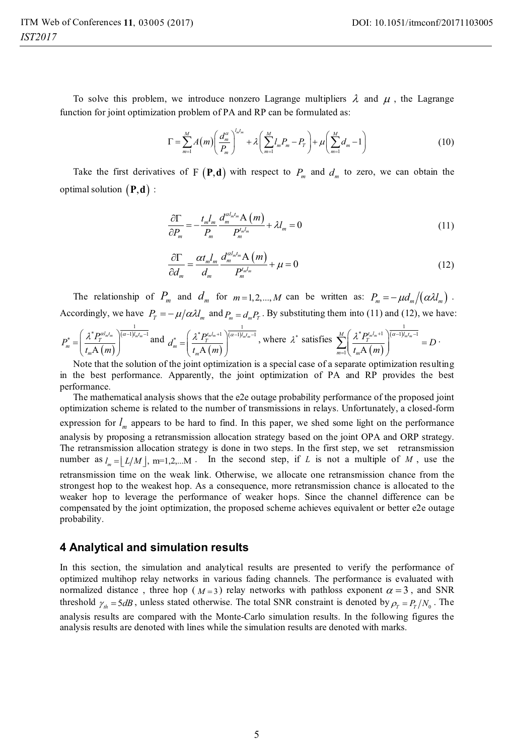To solve this problem, we introduce nonzero Lagrange multipliers  $\lambda$  and  $\mu$ , the Lagrange function for joint optimization problem of PA and RP can be formulated as:

$$
\Gamma = \sum_{m=1}^{M} A(m) \left( \frac{d_m^{\alpha}}{P_m} \right)^{l_m} + \lambda \left( \sum_{m=1}^{M} l_m P_m - P_T \right) + \mu \left( \sum_{m=1}^{M} d_m - 1 \right)
$$
(10)

Take the first derivatives of  $F(P,d)$  with respect to  $P_m$  and  $d_m$  to zero, we can obtain the optimal solution  $(P,d)$  :

$$
\frac{\partial \Gamma}{\partial P_m} = -\frac{t_m I_m}{P_m} \frac{d_m^{a l_m t_m} \mathbf{A}(m)}{P_m^{t_m t_m}} + \lambda I_m = 0 \tag{11}
$$

$$
\frac{\partial \Gamma}{\partial d_m} = \frac{\alpha t_m l_m}{d_m} \frac{d_m^{a l_m l_m} \mathbf{A}\left(m\right)}{P_m^{l_m l_m}} + \mu = 0\tag{12}
$$

The relationship of  $P_m$  and  $d_m$  for  $m=1,2,...,M$  can be written as:  $P_m = -\mu d_m/(\alpha \lambda l_m)$ . Accordingly, we have  $P_T = -\mu/\alpha \lambda I_m$  and  $P_m = d_m P_T$ . By substituting them into (11) and (12), we have:

$$
P_{m}^{*} = \left(\frac{\lambda^{*} P_{T}^{c d_{m} l_{m}}}{t_{m} A(m)}\right)^{\frac{1}{(a-1) l_{m} l_{m}-1}} \text{and } d_{m}^{*} = \left(\frac{\lambda^{*} P_{T}^{t_{m} l_{m}+1}}{t_{m} A(m)}\right)^{\frac{1}{(a-1) l_{m} l_{m}-1}}, \text{ where } \lambda^{*} \text{ satisfies } \sum_{m=1}^{M} \left(\frac{\lambda^{*} P_{T}^{t_{m} l_{m}+1}}{t_{m} A(m)}\right)^{\frac{1}{(a-1) l_{m} l_{m}-1}} = D
$$

Note that the solution of the joint optimization is a special case of a separate optimization resulting in the best performance. Apparently, the joint optimization of PA and RP provides the best performance.

The mathematical analysis shows that the e2e outage probability performance of the proposed joint optimization scheme is related to the number of transmissions in relays. Unfortunately, a closed-form expression for  $l_m$  appears to be hard to find. In this paper, we shed some light on the performance analysis by proposing a retransmission allocation strategy based on the joint OPA and ORP strategy. The retransmission allocation strategy is done in two steps. In the first step, we set retransmission number as  $l_m = | L/M |$ , m=1,2,...M. In the second step, if *L* is not a multiple of *M*, use the retransmission time on the weak link. Otherwise, we allocate one retransmission chance from the strongest hop to the weakest hop. As a consequence, more retransmission chance is allocated to the weaker hop to leverage the performance of weaker hops. Since the channel difference can be compensated by the joint optimization, the proposed scheme achieves equivalent or better e2e outage probability.

### **4 Analytical and simulation results**

In this section, the simulation and analytical results are presented to verify the performance of optimized multihop relay networks in various fading channels. The performance is evaluated with normalized distance, three hop ( $M=3$ ) relay networks with pathloss exponent  $\alpha = 3$ , and SNR threshold  $\gamma_{th} = 5 dB$ , unless stated otherwise. The total SNR constraint is denoted by  $\rho_T = P_T/N_0$ . The analysis results are compared with the Monte-Carlo simulation results. In the following figures the analysis results are denoted with lines while the simulation results are denoted with marks.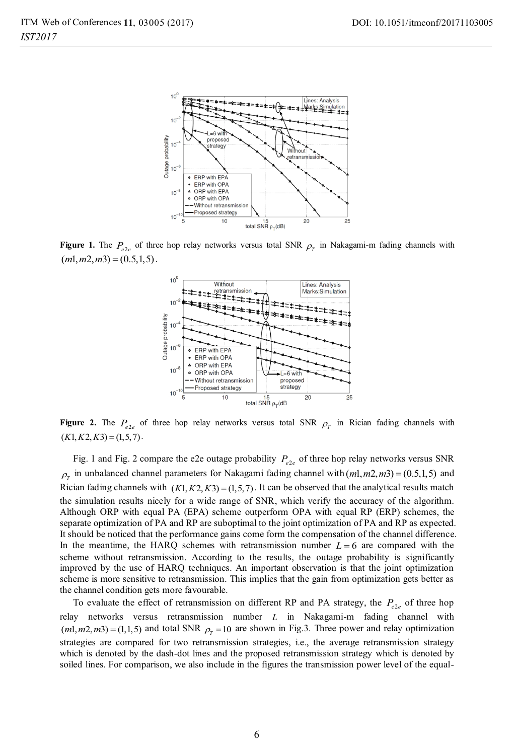

**Figure 1.** The  $P_{e2e}$  of three hop relay networks versus total SNR  $\rho_r$  in Nakagami-m fading channels with  $(m1, m2, m3) = (0.5, 1, 5)$ 



**Figure 2.** The  $P_{e^2e}$  of three hop relay networks versus total SNR  $\rho_r$  in Rician fading channels with  $(K1, K2, K3) = (1,5,7)$ 

Fig. 1 and Fig. 2 compare the e2e outage probability  $P_{\rho}$  of three hop relay networks versus SNR  $\rho_r$  in unbalanced channel parameters for Nakagami fading channel with  $(ml, m2, m3) = (0.5, 1, 5)$  and Rician fading channels with  $(K1, K2, K3) = (1,5,7)$ . It can be observed that the analytical results match the simulation results nicely for a wide range of SNR, which verify the accuracy of the algorithm. Although ORP with equal PA (EPA) scheme outperform OPA with equal RP (ERP) schemes, the separate optimization of PA and RP are suboptimal to the joint optimization of PA and RP as expected. It should be noticed that the performance gains come form the compensation of the channel difference. In the meantime, the HARQ schemes with retransmission number  $L = 6$  are compared with the scheme without retransmission. According to the results, the outage probability is significantly improved by the use of HARQ techniques. An important observation is that the joint optimization scheme is more sensitive to retransmission. This implies that the gain from optimization gets better as the channel condition gets more favourable.

To evaluate the effect of retransmission on different RP and PA strategy, the  $P_{e^2e}$  of three hop relay networks versus retransmission number *L* in Nakagami-m fading channel with  $(m1, m2, m3) = (1,1,5)$  and total SNR  $\rho_r = 10$  are shown in Fig.3. Three power and relay optimization strategies are compared for two retransmission strategies, i.e., the average retransmission strategy which is denoted by the dash-dot lines and the proposed retransmission strategy which is denoted by soiled lines. For comparison, we also include in the figures the transmission power level of the equal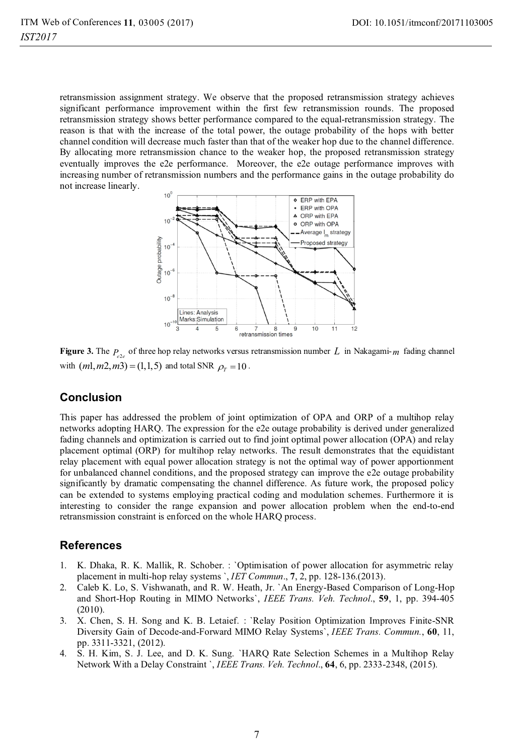retransmission assignment strategy. We observe that the proposed retransmission strategy achieves significant performance improvement within the first few retransmission rounds. The proposed retransmission strategy shows better performance compared to the equal-retransmission strategy. The reason is that with the increase of the total power, the outage probability of the hops with better channel condition will decrease much faster than that of the weaker hop due to the channel difference. By allocating more retransmission chance to the weaker hop, the proposed retransmission strategy eventually improves the e2e performance. Moreover, the e2e outage performance improves with increasing number of retransmission numbers and the performance gains in the outage probability do not increase linearly.



**Figure 3.** The  $P_{\text{e}^2}$  of three hop relay networks versus retransmission number L in Nakagami- $m$  fading channel with  $(m1, m2, m3) = (1,1,5)$  and total SNR  $\rho_r = 10$ .

# **Conclusion**

This paper has addressed the problem of joint optimization of OPA and ORP of a multihop relay networks adopting HARQ. The expression for the e2e outage probability is derived under generalized fading channels and optimization is carried out to find joint optimal power allocation (OPA) and relay placement optimal (ORP) for multihop relay networks. The result demonstrates that the equidistant relay placement with equal power allocation strategy is not the optimal way of power apportionment for unbalanced channel conditions, and the proposed strategy can improve the e2e outage probability significantly by dramatic compensating the channel difference. As future work, the proposed policy can be extended to systems employing practical coding and modulation schemes. Furthermore it is interesting to consider the range expansion and power allocation problem when the end-to-end retransmission constraint is enforced on the whole HARQ process.

# **References**

- 1. K. Dhaka, R. K. Mallik, R. Schober. : `Optimisation of power allocation for asymmetric relay placement in multi-hop relay systems `, *IET Commun*., **7**, 2, pp. 128-136.(2013).
- 2. Caleb K. Lo, S. Vishwanath, and R. W. Heath, Jr. `An Energy-Based Comparison of Long-Hop and Short-Hop Routing in MIMO Networks`, *IEEE Trans. Veh. Technol*., **59**, 1, pp. 394-405 (2010).
- 3. X. Chen, S. H. Song and K. B. Letaief. : `Relay Position Optimization Improves Finite-SNR Diversity Gain of Decode-and-Forward MIMO Relay Systems`, *IEEE Trans. Commun.*, **60**, 11, pp. 3311-3321, (2012).
- 4. S. H. Kim, S. J. Lee, and D. K. Sung. `HARQ Rate Selection Schemes in a Multihop Relay Network With a Delay Constraint `, *IEEE Trans. Veh. Technol*., **64**, 6, pp. 2333-2348, (2015).